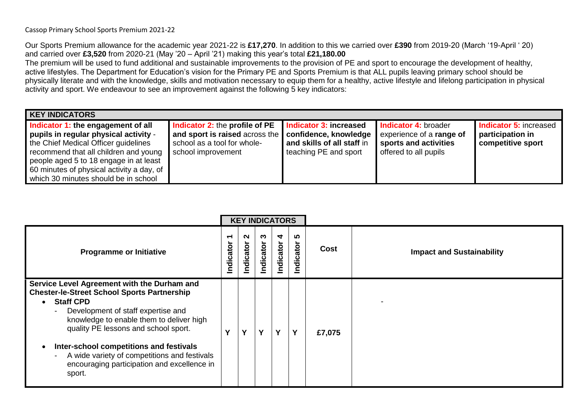Our Sports Premium allowance for the academic year 2021-22 is **£17,270**. In addition to this we carried over **£390** from 2019-20 (March '19-April ' 20) and carried over **£3,520** from 2020-21 (May '20 – April '21) making this year's total **£21,180.00** 

The premium will be used to fund additional and sustainable improvements to the provision of PE and sport to encourage the development of healthy, active lifestyles. The Department for Education's vision for the Primary PE and Sports Premium is that ALL pupils leaving primary school should be physically literate and with the knowledge, skills and motivation necessary to equip them for a healthy, active lifestyle and lifelong participation in physical activity and sport. We endeavour to see an improvement against the following 5 key indicators:

| <b>KEY INDICATORS</b>                                                                                                                                                                                                                                                                       |                                                                                                                       |                                                                                                        |                                                                                                    |                                                                        |
|---------------------------------------------------------------------------------------------------------------------------------------------------------------------------------------------------------------------------------------------------------------------------------------------|-----------------------------------------------------------------------------------------------------------------------|--------------------------------------------------------------------------------------------------------|----------------------------------------------------------------------------------------------------|------------------------------------------------------------------------|
| Indicator 1: the engagement of all<br>pupils in regular physical activity -<br>the Chief Medical Officer guidelines<br>recommend that all children and young<br>people aged 5 to 18 engage in at least<br>60 minutes of physical activity a day, of<br>which 30 minutes should be in school | Indicator 2: the profile of PE<br>and sport is raised across the<br>school as a tool for whole-<br>school improvement | Indicator 3: increased<br>confidence, knowledge<br>and skills of all staff in<br>teaching PE and sport | Indicator 4: broader<br>experience of a range of<br>sports and activities<br>offered to all pupils | <b>Indicator 5: increased</b><br>participation in<br>competitive sport |

|                                                                                                                                                                                                                                                                                                                                                                                                                  | <b>KEY INDICATORS</b> |                |                |                |                  |        |                                  |
|------------------------------------------------------------------------------------------------------------------------------------------------------------------------------------------------------------------------------------------------------------------------------------------------------------------------------------------------------------------------------------------------------------------|-----------------------|----------------|----------------|----------------|------------------|--------|----------------------------------|
| <b>Programme or Initiative</b>                                                                                                                                                                                                                                                                                                                                                                                   | ↽<br>Indicator        | N<br>Indicator | ო<br>Indicator | 4<br>Indicator | LO.<br>Indicator | Cost   | <b>Impact and Sustainability</b> |
| Service Level Agreement with the Durham and<br><b>Chester-le-Street School Sports Partnership</b><br><b>Staff CPD</b><br>$\bullet$<br>Development of staff expertise and<br>knowledge to enable them to deliver high<br>quality PE lessons and school sport.<br>Inter-school competitions and festivals<br>A wide variety of competitions and festivals<br>encouraging participation and excellence in<br>sport. | v                     |                | Υ              | Y              | Y                | £7,075 |                                  |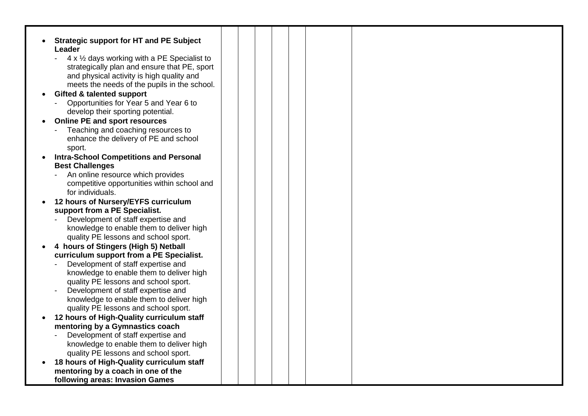|           | <b>Strategic support for HT and PE Subject</b>                                 |  |  |  |  |
|-----------|--------------------------------------------------------------------------------|--|--|--|--|
|           | Leader                                                                         |  |  |  |  |
|           | 4 x 1/2 days working with a PE Specialist to                                   |  |  |  |  |
|           | strategically plan and ensure that PE, sport                                   |  |  |  |  |
|           | and physical activity is high quality and                                      |  |  |  |  |
|           | meets the needs of the pupils in the school.                                   |  |  |  |  |
| $\bullet$ | <b>Gifted &amp; talented support</b>                                           |  |  |  |  |
|           | Opportunities for Year 5 and Year 6 to                                         |  |  |  |  |
|           | develop their sporting potential.                                              |  |  |  |  |
|           | <b>Online PE and sport resources</b>                                           |  |  |  |  |
|           | Teaching and coaching resources to                                             |  |  |  |  |
|           | enhance the delivery of PE and school                                          |  |  |  |  |
|           | sport.                                                                         |  |  |  |  |
| $\bullet$ | <b>Intra-School Competitions and Personal</b>                                  |  |  |  |  |
|           | <b>Best Challenges</b>                                                         |  |  |  |  |
|           | An online resource which provides                                              |  |  |  |  |
|           | competitive opportunities within school and                                    |  |  |  |  |
|           | for individuals.                                                               |  |  |  |  |
| $\bullet$ | 12 hours of Nursery/EYFS curriculum                                            |  |  |  |  |
|           | support from a PE Specialist.                                                  |  |  |  |  |
|           | Development of staff expertise and                                             |  |  |  |  |
|           | knowledge to enable them to deliver high                                       |  |  |  |  |
|           | quality PE lessons and school sport.                                           |  |  |  |  |
|           | 4 hours of Stingers (High 5) Netball                                           |  |  |  |  |
|           | curriculum support from a PE Specialist.                                       |  |  |  |  |
|           | Development of staff expertise and<br>knowledge to enable them to deliver high |  |  |  |  |
|           | quality PE lessons and school sport.                                           |  |  |  |  |
|           | Development of staff expertise and                                             |  |  |  |  |
|           | knowledge to enable them to deliver high                                       |  |  |  |  |
|           | quality PE lessons and school sport.                                           |  |  |  |  |
|           | 12 hours of High-Quality curriculum staff                                      |  |  |  |  |
|           | mentoring by a Gymnastics coach                                                |  |  |  |  |
|           | Development of staff expertise and                                             |  |  |  |  |
|           | knowledge to enable them to deliver high                                       |  |  |  |  |
|           | quality PE lessons and school sport.                                           |  |  |  |  |
| $\bullet$ | 18 hours of High-Quality curriculum staff                                      |  |  |  |  |
|           | mentoring by a coach in one of the                                             |  |  |  |  |
|           | following areas: Invasion Games                                                |  |  |  |  |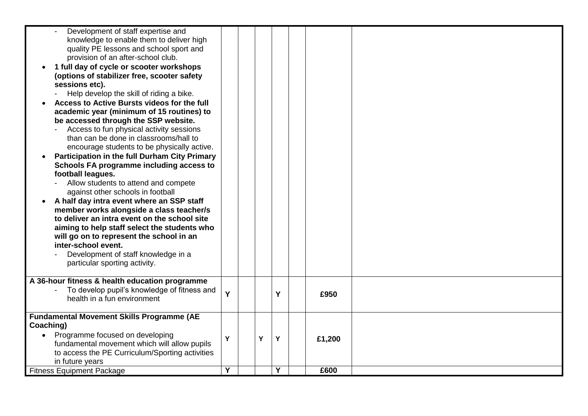| Development of staff expertise and                                                  |   |   |   |        |  |
|-------------------------------------------------------------------------------------|---|---|---|--------|--|
| knowledge to enable them to deliver high<br>quality PE lessons and school sport and |   |   |   |        |  |
| provision of an after-school club.                                                  |   |   |   |        |  |
| 1 full day of cycle or scooter workshops                                            |   |   |   |        |  |
| (options of stabilizer free, scooter safety                                         |   |   |   |        |  |
| sessions etc).                                                                      |   |   |   |        |  |
| Help develop the skill of riding a bike.                                            |   |   |   |        |  |
| Access to Active Bursts videos for the full                                         |   |   |   |        |  |
| academic year (minimum of 15 routines) to                                           |   |   |   |        |  |
| be accessed through the SSP website.                                                |   |   |   |        |  |
| Access to fun physical activity sessions                                            |   |   |   |        |  |
| than can be done in classrooms/hall to                                              |   |   |   |        |  |
| encourage students to be physically active.                                         |   |   |   |        |  |
| Participation in the full Durham City Primary                                       |   |   |   |        |  |
| Schools FA programme including access to                                            |   |   |   |        |  |
| football leagues.                                                                   |   |   |   |        |  |
| Allow students to attend and compete                                                |   |   |   |        |  |
| against other schools in football                                                   |   |   |   |        |  |
| A half day intra event where an SSP staff                                           |   |   |   |        |  |
| member works alongside a class teacher/s                                            |   |   |   |        |  |
| to deliver an intra event on the school site                                        |   |   |   |        |  |
| aiming to help staff select the students who                                        |   |   |   |        |  |
| will go on to represent the school in an                                            |   |   |   |        |  |
| inter-school event.                                                                 |   |   |   |        |  |
| Development of staff knowledge in a                                                 |   |   |   |        |  |
| particular sporting activity.                                                       |   |   |   |        |  |
| A 36-hour fitness & health education programme                                      |   |   |   |        |  |
| To develop pupil's knowledge of fitness and                                         |   |   |   |        |  |
| health in a fun environment                                                         | Y |   | Y | £950   |  |
|                                                                                     |   |   |   |        |  |
| <b>Fundamental Movement Skills Programme (AE</b>                                    |   |   |   |        |  |
| Coaching)                                                                           |   |   |   |        |  |
| Programme focused on developing                                                     | Y | Y | Y | £1,200 |  |
| fundamental movement which will allow pupils                                        |   |   |   |        |  |
| to access the PE Curriculum/Sporting activities                                     |   |   |   |        |  |
| in future years                                                                     |   |   |   |        |  |
| <b>Fitness Equipment Package</b>                                                    | Y |   | Y | £600   |  |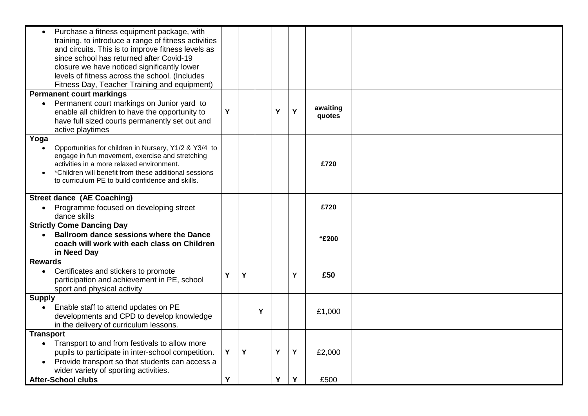| Purchase a fitness equipment package, with<br>training, to introduce a range of fitness activities<br>and circuits. This is to improve fitness levels as<br>since school has returned after Covid-19<br>closure we have noticed significantly lower<br>levels of fitness across the school. (Includes |   |   |   |   |   |                    |  |
|-------------------------------------------------------------------------------------------------------------------------------------------------------------------------------------------------------------------------------------------------------------------------------------------------------|---|---|---|---|---|--------------------|--|
| Fitness Day, Teacher Training and equipment)                                                                                                                                                                                                                                                          |   |   |   |   |   |                    |  |
| <b>Permanent court markings</b>                                                                                                                                                                                                                                                                       |   |   |   |   |   |                    |  |
| Permanent court markings on Junior yard to<br>$\bullet$<br>enable all children to have the opportunity to<br>have full sized courts permanently set out and<br>active playtimes                                                                                                                       | Y |   |   | Y | Y | awaiting<br>quotes |  |
| Yoga                                                                                                                                                                                                                                                                                                  |   |   |   |   |   |                    |  |
| Opportunities for children in Nursery, Y1/2 & Y3/4 to<br>engage in fun movement, exercise and stretching<br>activities in a more relaxed environment.<br>*Children will benefit from these additional sessions<br>to curriculum PE to build confidence and skills.                                    |   |   |   |   |   | £720               |  |
| <b>Street dance (AE Coaching)</b>                                                                                                                                                                                                                                                                     |   |   |   |   |   |                    |  |
| Programme focused on developing street<br>dance skills                                                                                                                                                                                                                                                |   |   |   |   |   | £720               |  |
| <b>Strictly Come Dancing Day</b>                                                                                                                                                                                                                                                                      |   |   |   |   |   |                    |  |
| <b>Ballroom dance sessions where the Dance</b><br>$\bullet$                                                                                                                                                                                                                                           |   |   |   |   |   | "£200              |  |
| coach will work with each class on Children                                                                                                                                                                                                                                                           |   |   |   |   |   |                    |  |
| in Need Day                                                                                                                                                                                                                                                                                           |   |   |   |   |   |                    |  |
| <b>Rewards</b><br>Certificates and stickers to promote<br>$\bullet$<br>participation and achievement in PE, school<br>sport and physical activity                                                                                                                                                     | Y | Y |   |   | Υ | £50                |  |
| <b>Supply</b>                                                                                                                                                                                                                                                                                         |   |   |   |   |   |                    |  |
| Enable staff to attend updates on PE                                                                                                                                                                                                                                                                  |   |   | Y |   |   | £1,000             |  |
| developments and CPD to develop knowledge<br>in the delivery of curriculum lessons.                                                                                                                                                                                                                   |   |   |   |   |   |                    |  |
| <b>Transport</b>                                                                                                                                                                                                                                                                                      |   |   |   |   |   |                    |  |
| Transport to and from festivals to allow more<br>$\bullet$                                                                                                                                                                                                                                            |   |   |   |   |   |                    |  |
| pupils to participate in inter-school competition.                                                                                                                                                                                                                                                    | Y | Y |   | Υ | Υ | £2,000             |  |
| Provide transport so that students can access a                                                                                                                                                                                                                                                       |   |   |   |   |   |                    |  |
| wider variety of sporting activities.                                                                                                                                                                                                                                                                 |   |   |   |   |   |                    |  |
| <b>After-School clubs</b>                                                                                                                                                                                                                                                                             | Y |   |   | Y | Y | £500               |  |